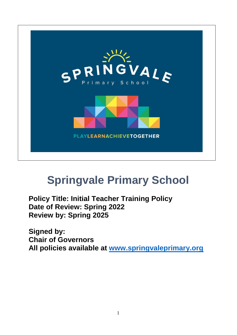

# **Springvale Primary School**

**Policy Title: Initial Teacher Training Policy Date of Review: Spring 2022 Review by: Spring 2025**

**Signed by: Chair of Governors All policies available at [www.springvaleprimary.org](http://www.springvaleprimary.org/)**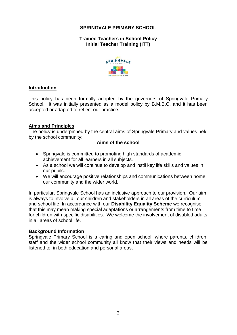## **SPRINGVALE PRIMARY SCHOOL**

## **Trainee Teachers in School Policy Initial Teacher Training (ITT)**



#### **Introduction**

This policy has been formally adopted by the governors of Springvale Primary School. It was initially presented as a model policy by B.M.B.C. and it has been accepted or adapted to reflect our practice.

#### **Aims and Principles**

The policy is underpinned by the central aims of Springvale Primary and values held by the school community:

## **Aims of the school**

- Springvale is committed to promoting high standards of academic achievement for all learners in all subjects.
- As a school we will continue to develop and instil key life skills and values in our pupils.
- We will encourage positive relationships and communications between home, our community and the wider world.

In particular, Springvale School has an inclusive approach to our provision. Our aim is always to involve all our children and stakeholders in all areas of the curriculum and school life. In accordance with our **Disability Equality Scheme** we recognise that this may mean making special adaptations or arrangements from time to time for children with specific disabilities. We welcome the involvement of disabled adults in all areas of school life.

#### **Background Information**

Springvale Primary School is a caring and open school, where parents, children, staff and the wider school community all know that their views and needs will be listened to, in both education and personal areas.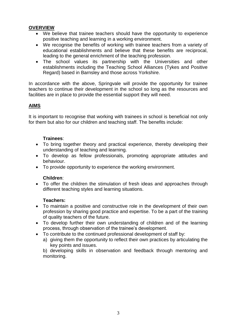## **OVERVIEW**

- We believe that trainee teachers should have the opportunity to experience positive teaching and learning in a working environment.
- We recognise the benefits of working with trainee teachers from a variety of educational establishments and believe that these benefits are reciprocal, leading to the general enrichment of the teaching profession.
- The school values its partnership with the Universities and other establishments including the Teaching School Alliances (Tykes and Positive Regard) based in Barnsley and those across Yorkshire.

In accordance with the above, Springvale will provide the opportunity for trainee teachers to continue their development in the school so long as the resources and facilities are in place to provide the essential support they will need.

## **AIMS**

It is important to recognise that working with trainees in school is beneficial not only for them but also for our children and teaching staff. The benefits include:

## **Trainees**:

- To bring together theory and practical experience, thereby developing their understanding of teaching and learning.
- To develop as fellow professionals, promoting appropriate attitudes and behaviour.
- To provide opportunity to experience the working environment.

#### **Children**:

 To offer the children the stimulation of fresh ideas and approaches through different teaching styles and learning situations.

#### **Teachers:**

- To maintain a positive and constructive role in the development of their own profession by sharing good practice and expertise. To be a part of the training of quality teachers of the future.
- To develop further their own understanding of children and of the learning process, through observation of the trainee's development.
- To contribute to the continued professional development of staff by:
	- a) giving them the opportunity to reflect their own practices by articulating the key points and issues.

b) developing skills in observation and feedback through mentoring and monitoring.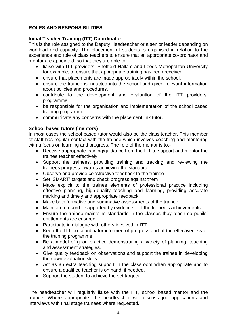## **ROLES AND RESPONSIBILITIES**

#### **Initial Teacher Training (ITT) Coordinator**

This is the role assigned to the Deputy Headteacher or a senior leader depending on workload and capacity. The placement of students is organised in relation to the experience and role of class teachers to ensure that an appropriate co-ordinator and mentor are appointed, so that they are able to:

- liaise with ITT providers; Sheffield Hallam and Leeds Metropolitan University for example, to ensure that appropriate training has been received.
- ensure that placements are made appropriately within the school.
- ensure the trainee is inducted into the school and given relevant information about policies and procedures.
- contribute to the development and evaluation of the ITT providers' programme.
- be responsible for the organisation and implementation of the school based training programme.
- communicate any concerns with the placement link tutor.

#### **School based tutors (mentors)**

In most cases the school based tutor would also be the class teacher. This member of staff has regular contact with the trainee which involves coaching and mentoring with a focus on learning and progress. The role of the mentor is to:-

- Receive appropriate training/guidance from the ITT to support and mentor the trainee teacher effectively.
- Support the trainees, providing training and tracking and reviewing the trainees progress towards achieving the standard.
- Observe and provide constructive feedback to the trainee
- Set 'SMART' targets and check progress against them
- Make explicit to the trainee elements of professional practice including effective planning, high-quality teaching and learning, providing accurate marking and timely and appropriate feedback.
- Make both formative and summative assessments of the trainee.
- Maintain a record supported by evidence of the trainee's achievements.
- Ensure the trainee maintains standards in the classes they teach so pupils' entitlements are ensured.
- Participate in dialogue with others involved in ITT.
- Keep the ITT co-coordinator informed of progress and of the effectiveness of the training programme.
- Be a model of good practice demonstrating a variety of planning, teaching and assessment strategies.
- Give quality feedback on observations and support the trainee in developing their own evaluation skills.
- Act as an extra teaching support in the classroom when appropriate and to ensure a qualified teacher is on hand, if needed.
- Support the student to achieve the set targets.

The headteacher will regularly liaise with the ITT, school based mentor and the trainee. Where appropriate, the headteacher will discuss job applications and interviews with final stage trainees where requested.